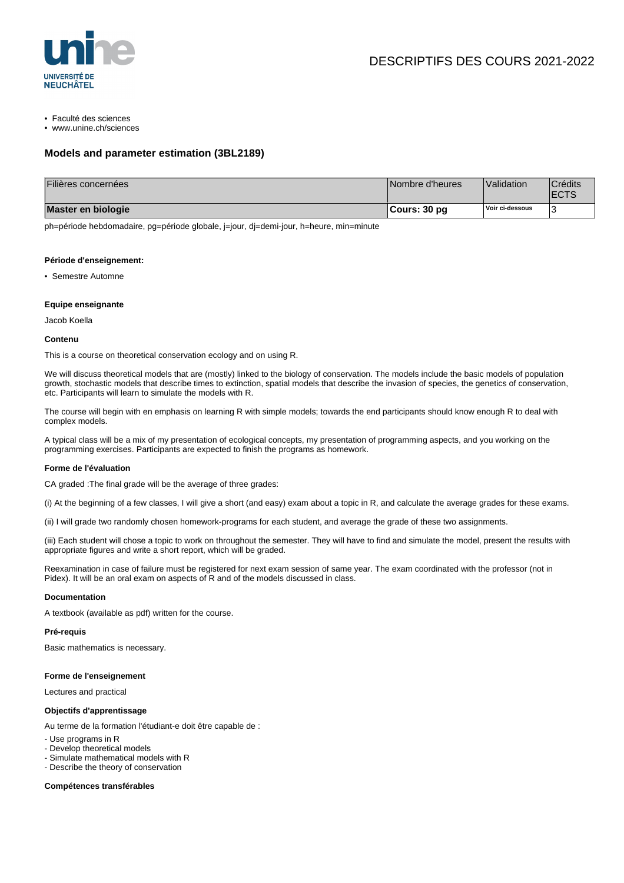

• Faculté des sciences

• www.unine.ch/sciences

### **Models and parameter estimation (3BL2189)**

| Filières concernées | Nombre d'heures | Validation      | <sup>'</sup> Crédits<br><b>ECTS</b> |
|---------------------|-----------------|-----------------|-------------------------------------|
| Master en biologie  | Cours: 30 pg    | Voir ci-dessous |                                     |

ph=période hebdomadaire, pg=période globale, j=jour, dj=demi-jour, h=heure, min=minute

#### **Période d'enseignement:**

• Semestre Automne

#### **Equipe enseignante**

Jacob Koella

#### **Contenu**

This is a course on theoretical conservation ecology and on using R.

We will discuss theoretical models that are (mostly) linked to the biology of conservation. The models include the basic models of population growth, stochastic models that describe times to extinction, spatial models that describe the invasion of species, the genetics of conservation, etc. Participants will learn to simulate the models with R.

The course will begin with en emphasis on learning R with simple models; towards the end participants should know enough R to deal with complex models.

A typical class will be a mix of my presentation of ecological concepts, my presentation of programming aspects, and you working on the programming exercises. Participants are expected to finish the programs as homework.

#### **Forme de l'évaluation**

CA graded :The final grade will be the average of three grades:

(i) At the beginning of a few classes, I will give a short (and easy) exam about a topic in R, and calculate the average grades for these exams.

(ii) I will grade two randomly chosen homework-programs for each student, and average the grade of these two assignments.

(iii) Each student will chose a topic to work on throughout the semester. They will have to find and simulate the model, present the results with appropriate figures and write a short report, which will be graded.

Reexamination in case of failure must be registered for next exam session of same year. The exam coordinated with the professor (not in Pidex). It will be an oral exam on aspects of R and of the models discussed in class.

#### **Documentation**

A textbook (available as pdf) written for the course.

#### **Pré-requis**

Basic mathematics is necessary.

#### **Forme de l'enseignement**

Lectures and practical

#### **Objectifs d'apprentissage**

Au terme de la formation l'étudiant-e doit être capable de :

- Use programs in R
- Develop theoretical models
- Simulate mathematical models with R
- Describe the theory of conservation

**Compétences transférables**